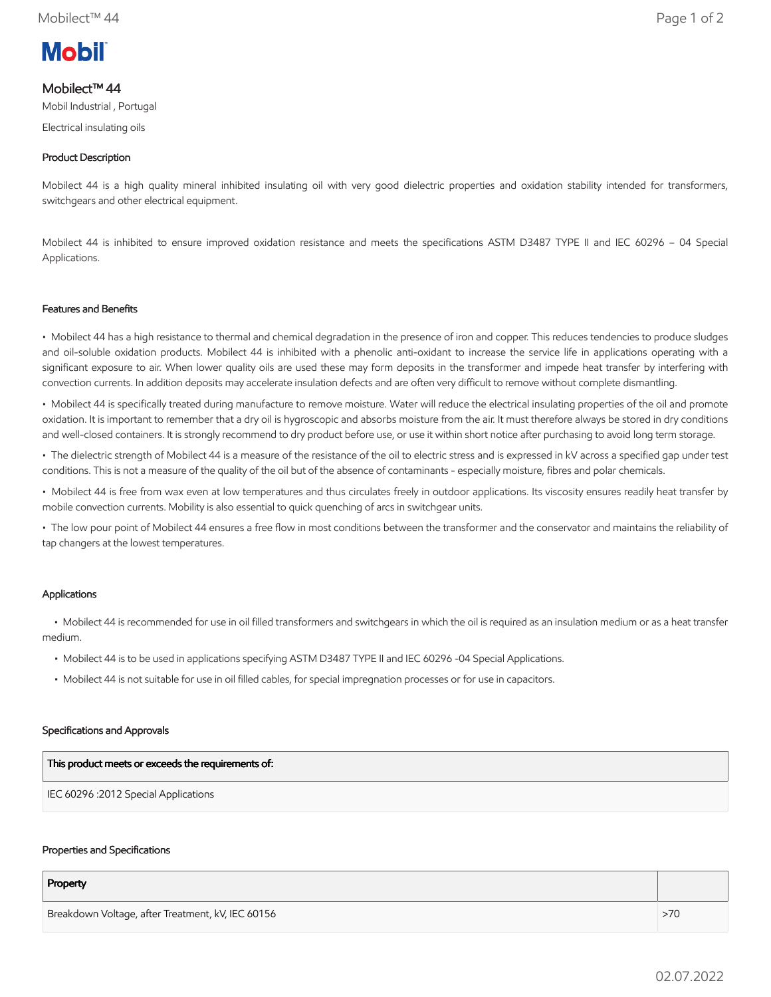# **Mobil**

# Mobilect™ 44

Mobil Industrial , Portugal

Electrical insulating oils

## Product Description

Mobilect 44 is a high quality mineral inhibited insulating oil with very good dielectric properties and oxidation stability intended for transformers, switchgears and other electrical equipment.

Mobilect 44 is inhibited to ensure improved oxidation resistance and meets the specifications ASTM D3487 TYPE II and IEC 60296 – 04 Special Applications.

## Features and Benefits

• Mobilect 44 has a high resistance to thermal and chemical degradation in the presence of iron and copper. This reduces tendencies to produce sludges and oil-soluble oxidation products. Mobilect 44 is inhibited with a phenolic anti-oxidant to increase the service life in applications operating with a significant exposure to air. When lower quality oils are used these may form deposits in the transformer and impede heat transfer by interfering with convection currents. In addition deposits may accelerate insulation defects and are often very difficult to remove without complete dismantling.

• Mobilect 44 is specifically treated during manufacture to remove moisture. Water will reduce the electrical insulating properties of the oil and promote oxidation. It is important to remember that a dry oil is hygroscopic and absorbs moisture from the air. It must therefore always be stored in dry conditions and well-closed containers. It is strongly recommend to dry product before use, or use it within short notice after purchasing to avoid long term storage.

• The dielectric strength of Mobilect 44 is a measure of the resistance of the oil to electric stress and is expressed in kV across a specified gap under test conditions. This is not a measure of the quality of the oil but of the absence of contaminants - especially moisture, fibres and polar chemicals.

• Mobilect 44 is free from wax even at low temperatures and thus circulates freely in outdoor applications. Its viscosity ensures readily heat transfer by mobile convection currents. Mobility is also essential to quick quenching of arcs in switchgear units.

• The low pour point of Mobilect 44 ensures a free flow in most conditions between the transformer and the conservator and maintains the reliability of tap changers at the lowest temperatures.

## Applications

 • Mobilect 44 is recommended for use in oil filled transformers and switchgears in which the oil is required as an insulation medium or as a heat transfer medium.

- Mobilect 44 is to be used in applications specifying ASTM D3487 TYPE II and IEC 60296 -04 Special Applications.
- Mobilect 44 is not suitable for use in oil filled cables, for special impregnation processes or for use in capacitors.

## Specifications and Approvals

| This product meets or exceeds the requirements of: |
|----------------------------------------------------|
| IEC 60296 :2012 Special Applications               |

#### Properties and Specifications

| Property                                          |     |
|---------------------------------------------------|-----|
| Breakdown Voltage, after Treatment, kV, IEC 60156 | >70 |